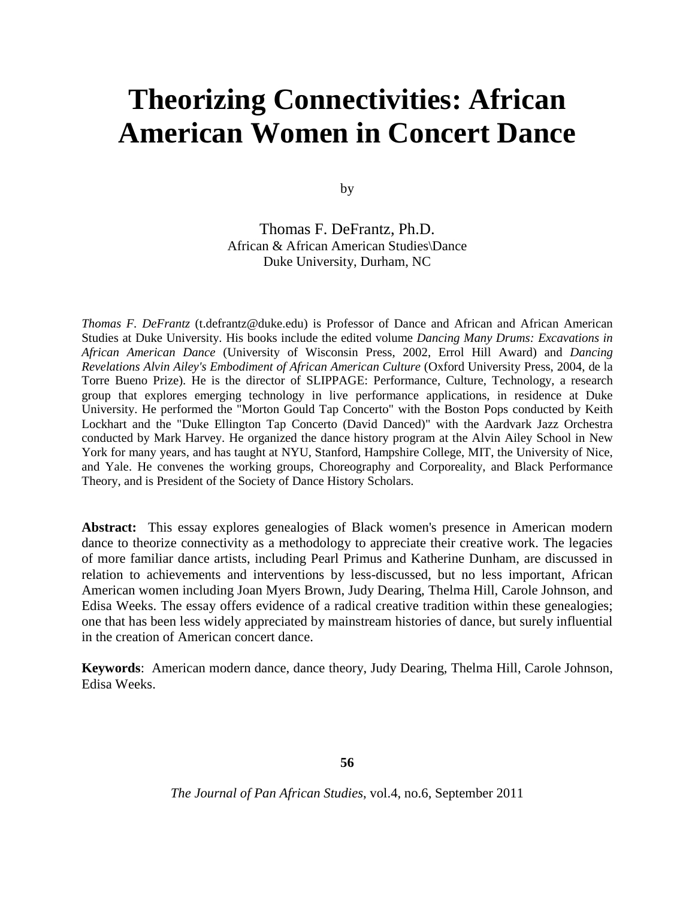# **Theorizing Connectivities: African American Women in Concert Dance**

by

Thomas F. DeFrantz, Ph.D. African & African American Studies\Dance Duke University, Durham, NC

*Thomas F. DeFrantz* (t.defrantz@duke.edu) is Professor of Dance and African and African American Studies at Duke University. His books include the edited volume *Dancing Many Drums: Excavations in African American Dance* (University of Wisconsin Press, 2002, Errol Hill Award) and *Dancing Revelations Alvin Ailey's Embodiment of African American Culture* (Oxford University Press, 2004, de la Torre Bueno Prize). He is the director of SLIPPAGE: Performance, Culture, Technology, a research group that explores emerging technology in live performance applications, in residence at Duke University. He performed the "Morton Gould Tap Concerto" with the Boston Pops conducted by Keith Lockhart and the "Duke Ellington Tap Concerto (David Danced)" with the Aardvark Jazz Orchestra conducted by Mark Harvey. He organized the dance history program at the Alvin Ailey School in New York for many years, and has taught at NYU, Stanford, Hampshire College, MIT, the University of Nice, and Yale. He convenes the working groups, Choreography and Corporeality, and Black Performance Theory, and is President of the Society of Dance History Scholars.

**Abstract:** This essay explores genealogies of Black women's presence in American modern dance to theorize connectivity as a methodology to appreciate their creative work. The legacies of more familiar dance artists, including Pearl Primus and Katherine Dunham, are discussed in relation to achievements and interventions by less-discussed, but no less important, African American women including Joan Myers Brown, Judy Dearing, Thelma Hill, Carole Johnson, and Edisa Weeks. The essay offers evidence of a radical creative tradition within these genealogies; one that has been less widely appreciated by mainstream histories of dance, but surely influential in the creation of American concert dance.

**Keywords**: American modern dance, dance theory, Judy Dearing, Thelma Hill, Carole Johnson, Edisa Weeks.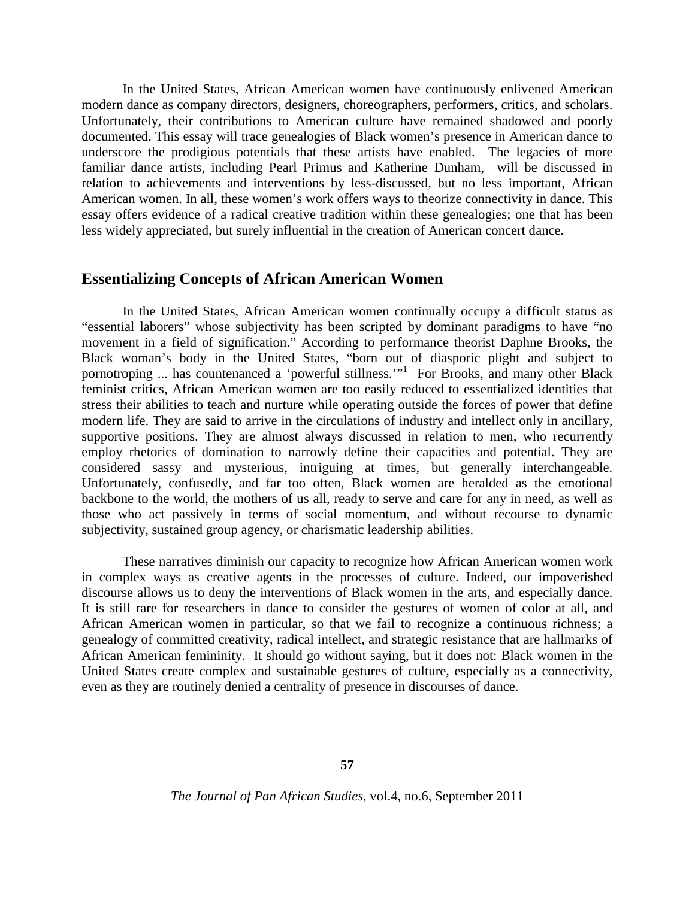In the United States, African American women have continuously enlivened American modern dance as company directors, designers, choreographers, performers, critics, and scholars. Unfortunately, their contributions to American culture have remained shadowed and poorly documented. This essay will trace genealogies of Black women's presence in American dance to underscore the prodigious potentials that these artists have enabled. The legacies of more familiar dance artists, including Pearl Primus and Katherine Dunham, will be discussed in relation to achievements and interventions by less-discussed, but no less important, African American women. In all, these women's work offers ways to theorize connectivity in dance. This essay offers evidence of a radical creative tradition within these genealogies; one that has been less widely appreciated, but surely influential in the creation of American concert dance.

#### **Essentializing Concepts of African American Women**

In the United States, African American women continually occupy a difficult status as "essential laborers" whose subjectivity has been scripted by dominant paradigms to have "no movement in a field of signification." According to performance theorist Daphne Brooks, the Black woman's body in the United States, "born out of diasporic plight and subject to pornotroping ... has countenanced a 'powerful stillness.'"<sup>1</sup> For Brooks, and many other Black feminist critics, African American women are too easily reduced to essentialized identities that stress their abilities to teach and nurture while operating outside the forces of power that define modern life. They are said to arrive in the circulations of industry and intellect only in ancillary, supportive positions. They are almost always discussed in relation to men, who recurrently employ rhetorics of domination to narrowly define their capacities and potential. They are considered sassy and mysterious, intriguing at times, but generally interchangeable. Unfortunately, confusedly, and far too often, Black women are heralded as the emotional backbone to the world, the mothers of us all, ready to serve and care for any in need, as well as those who act passively in terms of social momentum, and without recourse to dynamic subjectivity, sustained group agency, or charismatic leadership abilities.

These narratives diminish our capacity to recognize how African American women work in complex ways as creative agents in the processes of culture. Indeed, our impoverished discourse allows us to deny the interventions of Black women in the arts, and especially dance. It is still rare for researchers in dance to consider the gestures of women of color at all, and African American women in particular, so that we fail to recognize a continuous richness; a genealogy of committed creativity, radical intellect, and strategic resistance that are hallmarks of African American femininity. It should go without saying, but it does not: Black women in the United States create complex and sustainable gestures of culture, especially as a connectivity, even as they are routinely denied a centrality of presence in discourses of dance.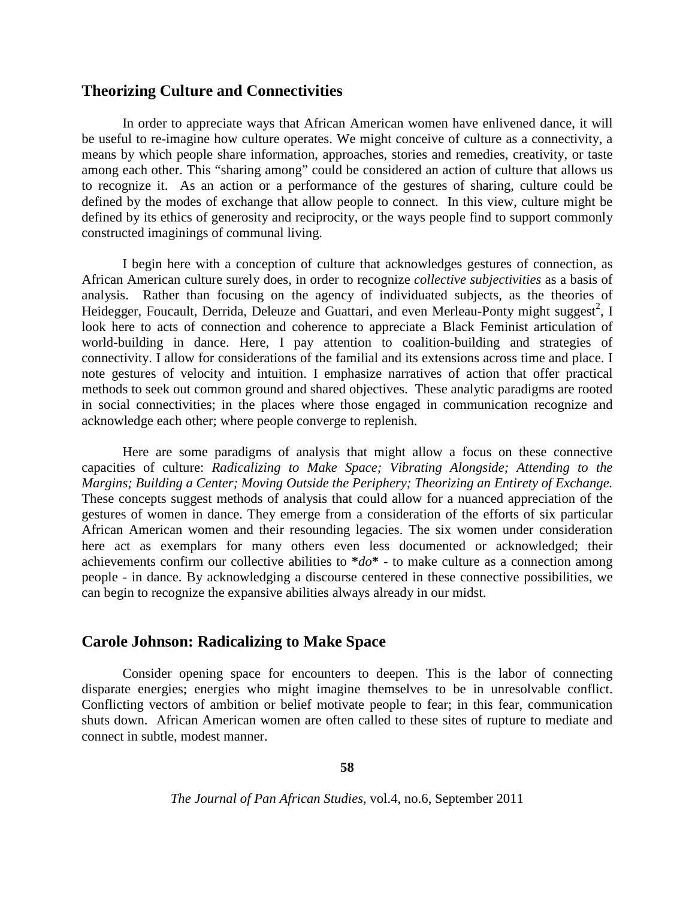## **Theorizing Culture and Connectivities**

In order to appreciate ways that African American women have enlivened dance, it will be useful to re-imagine how culture operates. We might conceive of culture as a connectivity, a means by which people share information, approaches, stories and remedies, creativity, or taste among each other. This "sharing among" could be considered an action of culture that allows us to recognize it. As an action or a performance of the gestures of sharing, culture could be defined by the modes of exchange that allow people to connect. In this view, culture might be defined by its ethics of generosity and reciprocity, or the ways people find to support commonly constructed imaginings of communal living.

I begin here with a conception of culture that acknowledges gestures of connection, as African American culture surely does, in order to recognize *collective subjectivities* as a basis of analysis. Rather than focusing on the agency of individuated subjects, as the theories of Heidegger, Foucault, Derrida, Deleuze and Guattari, and even Merleau-Ponty might suggest<sup>2</sup>, I look here to acts of connection and coherence to appreciate a Black Feminist articulation of world-building in dance. Here, I pay attention to coalition-building and strategies of connectivity. I allow for considerations of the familial and its extensions across time and place. I note gestures of velocity and intuition. I emphasize narratives of action that offer practical methods to seek out common ground and shared objectives. These analytic paradigms are rooted in social connectivities; in the places where those engaged in communication recognize and acknowledge each other; where people converge to replenish.

Here are some paradigms of analysis that might allow a focus on these connective capacities of culture: *Radicalizing to Make Space; Vibrating Alongside; Attending to the Margins; Building a Center; Moving Outside the Periphery; Theorizing an Entirety of Exchange.*  These concepts suggest methods of analysis that could allow for a nuanced appreciation of the gestures of women in dance. They emerge from a consideration of the efforts of six particular African American women and their resounding legacies. The six women under consideration here act as exemplars for many others even less documented or acknowledged; their achievements confirm our collective abilities to **\****do***\*** - to make culture as a connection among people - in dance. By acknowledging a discourse centered in these connective possibilities, we can begin to recognize the expansive abilities always already in our midst.

## **Carole Johnson: Radicalizing to Make Space**

Consider opening space for encounters to deepen. This is the labor of connecting disparate energies; energies who might imagine themselves to be in unresolvable conflict. Conflicting vectors of ambition or belief motivate people to fear; in this fear, communication shuts down. African American women are often called to these sites of rupture to mediate and connect in subtle, modest manner.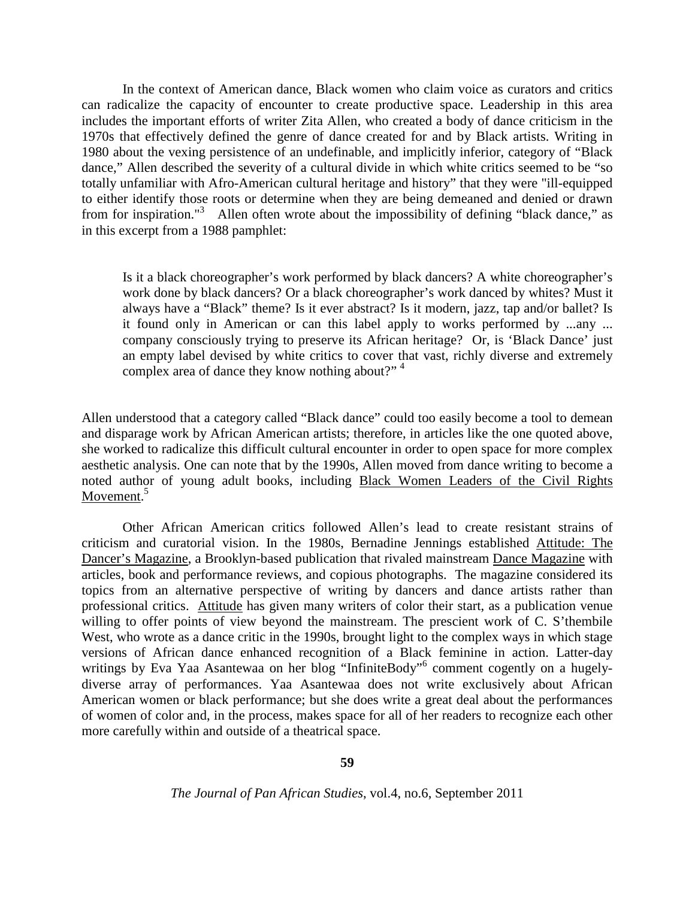In the context of American dance, Black women who claim voice as curators and critics can radicalize the capacity of encounter to create productive space. Leadership in this area includes the important efforts of writer Zita Allen, who created a body of dance criticism in the 1970s that effectively defined the genre of dance created for and by Black artists. Writing in 1980 about the vexing persistence of an undefinable, and implicitly inferior, category of "Black dance," Allen described the severity of a cultural divide in which white critics seemed to be "so totally unfamiliar with Afro-American cultural heritage and history" that they were "ill-equipped to either identify those roots or determine when they are being demeaned and denied or drawn from for inspiration."<sup>3</sup> Allen often wrote about the impossibility of defining "black dance," as in this excerpt from a 1988 pamphlet:

Is it a black choreographer's work performed by black dancers? A white choreographer's work done by black dancers? Or a black choreographer's work danced by whites? Must it always have a "Black" theme? Is it ever abstract? Is it modern, jazz, tap and/or ballet? Is it found only in American or can this label apply to works performed by ...any ... company consciously trying to preserve its African heritage? Or, is 'Black Dance' just an empty label devised by white critics to cover that vast, richly diverse and extremely complex area of dance they know nothing about?"<sup>4</sup>

Allen understood that a category called "Black dance" could too easily become a tool to demean and disparage work by African American artists; therefore, in articles like the one quoted above, she worked to radicalize this difficult cultural encounter in order to open space for more complex aesthetic analysis. One can note that by the 1990s, Allen moved from dance writing to become a noted author of young adult books, including Black Women Leaders of the Civil Rights Movement.<sup>5</sup>

Other African American critics followed Allen's lead to create resistant strains of criticism and curatorial vision. In the 1980s, Bernadine Jennings established Attitude: The Dancer's Magazine, a Brooklyn-based publication that rivaled mainstream Dance Magazine with articles, book and performance reviews, and copious photographs. The magazine considered its topics from an alternative perspective of writing by dancers and dance artists rather than professional critics. Attitude has given many writers of color their start, as a publication venue willing to offer points of view beyond the mainstream. The prescient work of C. S'thembile West, who wrote as a dance critic in the 1990s, brought light to the complex ways in which stage versions of African dance enhanced recognition of a Black feminine in action. Latter-day writings by Eva Yaa Asantewaa on her blog "InfiniteBody"<sup>6</sup> comment cogently on a hugelydiverse array of performances. Yaa Asantewaa does not write exclusively about African American women or black performance; but she does write a great deal about the performances of women of color and, in the process, makes space for all of her readers to recognize each other more carefully within and outside of a theatrical space.

**59**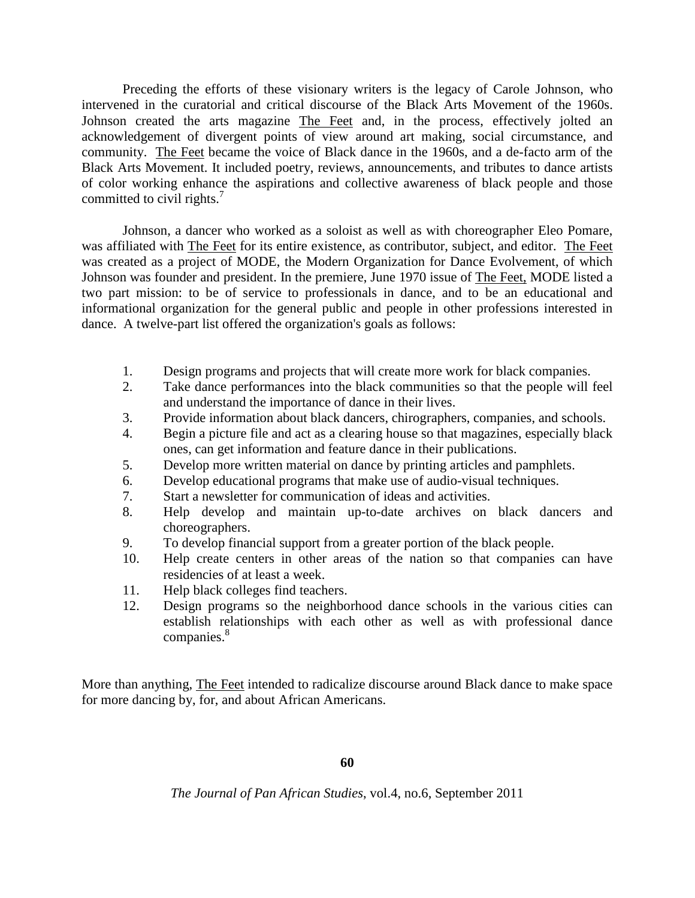Preceding the efforts of these visionary writers is the legacy of Carole Johnson, who intervened in the curatorial and critical discourse of the Black Arts Movement of the 1960s. Johnson created the arts magazine The Feet and, in the process, effectively jolted an acknowledgement of divergent points of view around art making, social circumstance, and community. The Feet became the voice of Black dance in the 1960s, and a de-facto arm of the Black Arts Movement. It included poetry, reviews, announcements, and tributes to dance artists of color working enhance the aspirations and collective awareness of black people and those committed to civil rights. $7$ 

Johnson, a dancer who worked as a soloist as well as with choreographer Eleo Pomare, was affiliated with The Feet for its entire existence, as contributor, subject, and editor. The Feet was created as a project of MODE, the Modern Organization for Dance Evolvement, of which Johnson was founder and president. In the premiere, June 1970 issue of The Feet, MODE listed a two part mission: to be of service to professionals in dance, and to be an educational and informational organization for the general public and people in other professions interested in dance. A twelve-part list offered the organization's goals as follows:

- 1. Design programs and projects that will create more work for black companies.
- 2. Take dance performances into the black communities so that the people will feel and understand the importance of dance in their lives.
- 3. Provide information about black dancers, chirographers, companies, and schools.
- 4. Begin a picture file and act as a clearing house so that magazines, especially black ones, can get information and feature dance in their publications.
- 5. Develop more written material on dance by printing articles and pamphlets.
- 6. Develop educational programs that make use of audio-visual techniques.
- 7. Start a newsletter for communication of ideas and activities.
- 8. Help develop and maintain up-to-date archives on black dancers and choreographers.
- 9. To develop financial support from a greater portion of the black people.
- 10. Help create centers in other areas of the nation so that companies can have residencies of at least a week.
- 11. Help black colleges find teachers.
- 12. Design programs so the neighborhood dance schools in the various cities can establish relationships with each other as well as with professional dance companies.<sup>8</sup>

More than anything, The Feet intended to radicalize discourse around Black dance to make space for more dancing by, for, and about African Americans.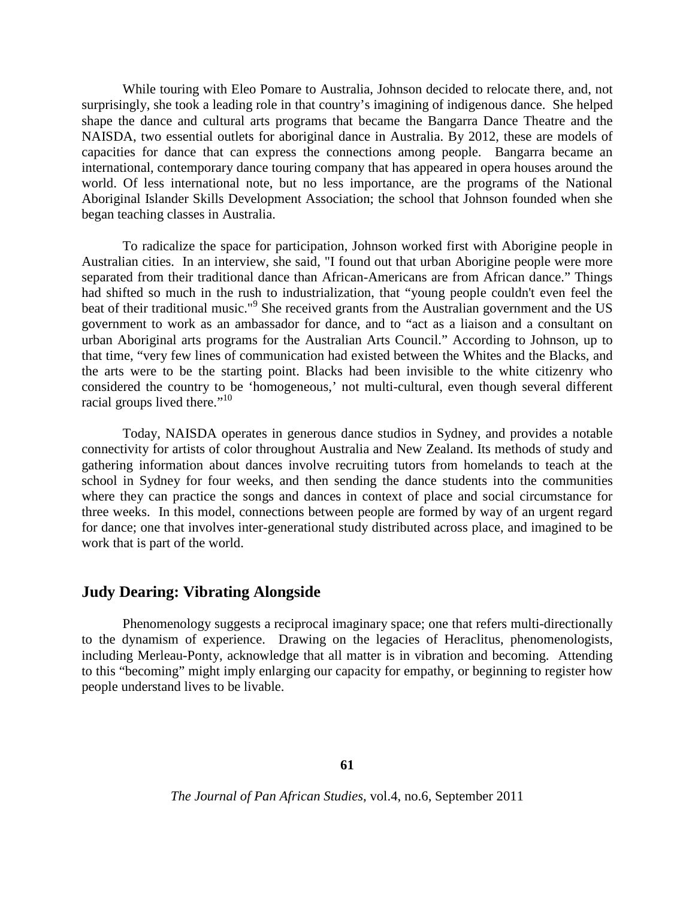While touring with Eleo Pomare to Australia, Johnson decided to relocate there, and, not surprisingly, she took a leading role in that country's imagining of indigenous dance. She helped shape the dance and cultural arts programs that became the Bangarra Dance Theatre and the NAISDA, two essential outlets for aboriginal dance in Australia. By 2012, these are models of capacities for dance that can express the connections among people. Bangarra became an international, contemporary dance touring company that has appeared in opera houses around the world. Of less international note, but no less importance, are the programs of the National Aboriginal Islander Skills Development Association; the school that Johnson founded when she began teaching classes in Australia.

To radicalize the space for participation, Johnson worked first with Aborigine people in Australian cities. In an interview, she said, "I found out that urban Aborigine people were more separated from their traditional dance than African-Americans are from African dance." Things had shifted so much in the rush to industrialization, that "young people couldn't even feel the beat of their traditional music."<sup>9</sup> She received grants from the Australian government and the US government to work as an ambassador for dance, and to "act as a liaison and a consultant on urban Aboriginal arts programs for the Australian Arts Council." According to Johnson, up to that time, "very few lines of communication had existed between the Whites and the Blacks, and the arts were to be the starting point. Blacks had been invisible to the white citizenry who considered the country to be 'homogeneous,' not multi-cultural, even though several different racial groups lived there."<sup>10</sup>

Today, NAISDA operates in generous dance studios in Sydney, and provides a notable connectivity for artists of color throughout Australia and New Zealand. Its methods of study and gathering information about dances involve recruiting tutors from homelands to teach at the school in Sydney for four weeks, and then sending the dance students into the communities where they can practice the songs and dances in context of place and social circumstance for three weeks. In this model, connections between people are formed by way of an urgent regard for dance; one that involves inter-generational study distributed across place, and imagined to be work that is part of the world.

#### **Judy Dearing: Vibrating Alongside**

Phenomenology suggests a reciprocal imaginary space; one that refers multi-directionally to the dynamism of experience. Drawing on the legacies of Heraclitus, phenomenologists, including Merleau-Ponty, acknowledge that all matter is in vibration and becoming. Attending to this "becoming" might imply enlarging our capacity for empathy, or beginning to register how people understand lives to be livable.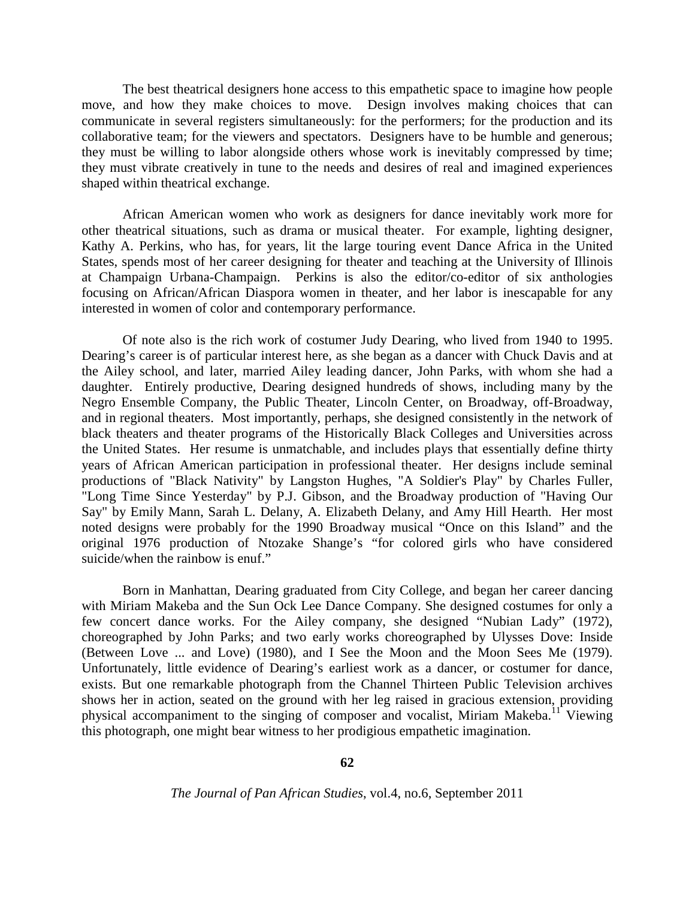The best theatrical designers hone access to this empathetic space to imagine how people move, and how they make choices to move. Design involves making choices that can communicate in several registers simultaneously: for the performers; for the production and its collaborative team; for the viewers and spectators. Designers have to be humble and generous; they must be willing to labor alongside others whose work is inevitably compressed by time; they must vibrate creatively in tune to the needs and desires of real and imagined experiences shaped within theatrical exchange.

African American women who work as designers for dance inevitably work more for other theatrical situations, such as drama or musical theater. For example, lighting designer, Kathy A. Perkins, who has, for years, lit the large touring event Dance Africa in the United States, spends most of her career designing for theater and teaching at the University of Illinois at Champaign Urbana-Champaign. Perkins is also the editor/co-editor of six anthologies focusing on African/African Diaspora women in theater, and her labor is inescapable for any interested in women of color and contemporary performance.

Of note also is the rich work of costumer Judy Dearing, who lived from 1940 to 1995. Dearing's career is of particular interest here, as she began as a dancer with Chuck Davis and at the Ailey school, and later, married Ailey leading dancer, John Parks, with whom she had a daughter. Entirely productive, Dearing designed hundreds of shows, including many by the Negro Ensemble Company, the Public Theater, Lincoln Center, on Broadway, off-Broadway, and in regional theaters. Most importantly, perhaps, she designed consistently in the network of black theaters and theater programs of the Historically Black Colleges and Universities across the United States. Her resume is unmatchable, and includes plays that essentially define thirty years of African American participation in professional theater. Her designs include seminal productions of "Black Nativity" by Langston Hughes, "A Soldier's Play" by Charles Fuller, "Long Time Since Yesterday" by P.J. Gibson, and the Broadway production of "Having Our Say" by Emily Mann, Sarah L. Delany, A. Elizabeth Delany, and Amy Hill Hearth. Her most noted designs were probably for the 1990 Broadway musical "Once on this Island" and the original 1976 production of Ntozake Shange's "for colored girls who have considered suicide/when the rainbow is enuf."

Born in Manhattan, Dearing graduated from City College, and began her career dancing with Miriam Makeba and the Sun Ock Lee Dance Company. She designed costumes for only a few concert dance works. For the Ailey company, she designed "Nubian Lady" (1972), choreographed by John Parks; and two early works choreographed by Ulysses Dove: Inside (Between Love ... and Love) (1980), and I See the Moon and the Moon Sees Me (1979). Unfortunately, little evidence of Dearing's earliest work as a dancer, or costumer for dance, exists. But one remarkable photograph from the Channel Thirteen Public Television archives shows her in action, seated on the ground with her leg raised in gracious extension, providing physical accompaniment to the singing of composer and vocalist, Miriam Makeba.<sup>11</sup> Viewing this photograph, one might bear witness to her prodigious empathetic imagination.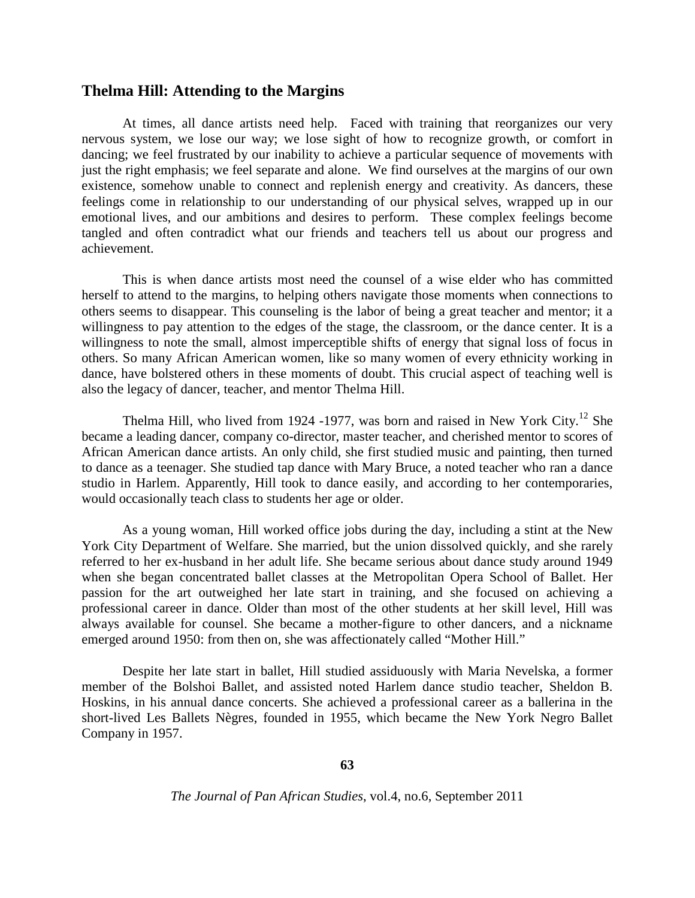#### **Thelma Hill: Attending to the Margins**

At times, all dance artists need help. Faced with training that reorganizes our very nervous system, we lose our way; we lose sight of how to recognize growth, or comfort in dancing; we feel frustrated by our inability to achieve a particular sequence of movements with just the right emphasis; we feel separate and alone. We find ourselves at the margins of our own existence, somehow unable to connect and replenish energy and creativity. As dancers, these feelings come in relationship to our understanding of our physical selves, wrapped up in our emotional lives, and our ambitions and desires to perform. These complex feelings become tangled and often contradict what our friends and teachers tell us about our progress and achievement.

This is when dance artists most need the counsel of a wise elder who has committed herself to attend to the margins, to helping others navigate those moments when connections to others seems to disappear. This counseling is the labor of being a great teacher and mentor; it a willingness to pay attention to the edges of the stage, the classroom, or the dance center. It is a willingness to note the small, almost imperceptible shifts of energy that signal loss of focus in others. So many African American women, like so many women of every ethnicity working in dance, have bolstered others in these moments of doubt. This crucial aspect of teaching well is also the legacy of dancer, teacher, and mentor Thelma Hill.

Thelma Hill, who lived from 1924 -1977, was born and raised in New York City.<sup>12</sup> She became a leading dancer, company co-director, master teacher, and cherished mentor to scores of African American dance artists. An only child, she first studied music and painting, then turned to dance as a teenager. She studied tap dance with Mary Bruce, a noted teacher who ran a dance studio in Harlem. Apparently, Hill took to dance easily, and according to her contemporaries, would occasionally teach class to students her age or older.

As a young woman, Hill worked office jobs during the day, including a stint at the New York City Department of Welfare. She married, but the union dissolved quickly, and she rarely referred to her ex-husband in her adult life. She became serious about dance study around 1949 when she began concentrated ballet classes at the Metropolitan Opera School of Ballet. Her passion for the art outweighed her late start in training, and she focused on achieving a professional career in dance. Older than most of the other students at her skill level, Hill was always available for counsel. She became a mother-figure to other dancers, and a nickname emerged around 1950: from then on, she was affectionately called "Mother Hill."

Despite her late start in ballet, Hill studied assiduously with Maria Nevelska, a former member of the Bolshoi Ballet, and assisted noted Harlem dance studio teacher, Sheldon B. Hoskins, in his annual dance concerts. She achieved a professional career as a ballerina in the short-lived Les Ballets Nègres, founded in 1955, which became the New York Negro Ballet Company in 1957.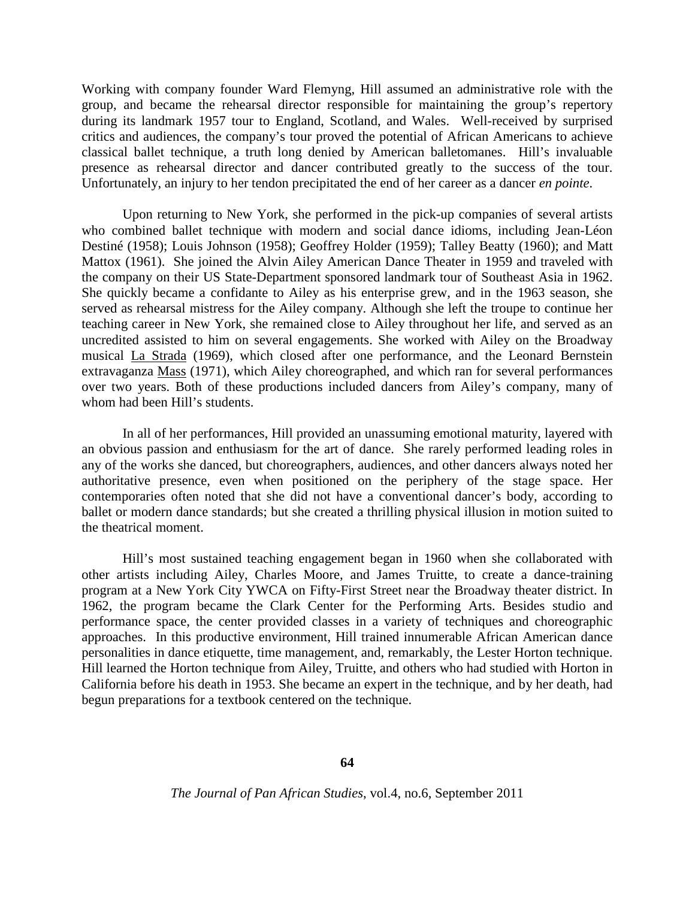Working with company founder Ward Flemyng, Hill assumed an administrative role with the group, and became the rehearsal director responsible for maintaining the group's repertory during its landmark 1957 tour to England, Scotland, and Wales. Well-received by surprised critics and audiences, the company's tour proved the potential of African Americans to achieve classical ballet technique, a truth long denied by American balletomanes. Hill's invaluable presence as rehearsal director and dancer contributed greatly to the success of the tour. Unfortunately, an injury to her tendon precipitated the end of her career as a dancer *en pointe*.

Upon returning to New York, she performed in the pick-up companies of several artists who combined ballet technique with modern and social dance idioms, including Jean-Léon Destiné (1958); Louis Johnson (1958); Geoffrey Holder (1959); Talley Beatty (1960); and Matt Mattox (1961). She joined the Alvin Ailey American Dance Theater in 1959 and traveled with the company on their US State-Department sponsored landmark tour of Southeast Asia in 1962. She quickly became a confidante to Ailey as his enterprise grew, and in the 1963 season, she served as rehearsal mistress for the Ailey company. Although she left the troupe to continue her teaching career in New York, she remained close to Ailey throughout her life, and served as an uncredited assisted to him on several engagements. She worked with Ailey on the Broadway musical La Strada (1969), which closed after one performance, and the Leonard Bernstein extravaganza Mass (1971), which Ailey choreographed, and which ran for several performances over two years. Both of these productions included dancers from Ailey's company, many of whom had been Hill's students.

In all of her performances, Hill provided an unassuming emotional maturity, layered with an obvious passion and enthusiasm for the art of dance. She rarely performed leading roles in any of the works she danced, but choreographers, audiences, and other dancers always noted her authoritative presence, even when positioned on the periphery of the stage space. Her contemporaries often noted that she did not have a conventional dancer's body, according to ballet or modern dance standards; but she created a thrilling physical illusion in motion suited to the theatrical moment.

Hill's most sustained teaching engagement began in 1960 when she collaborated with other artists including Ailey, Charles Moore, and James Truitte, to create a dance-training program at a New York City YWCA on Fifty-First Street near the Broadway theater district. In 1962, the program became the Clark Center for the Performing Arts. Besides studio and performance space, the center provided classes in a variety of techniques and choreographic approaches. In this productive environment, Hill trained innumerable African American dance personalities in dance etiquette, time management, and, remarkably, the Lester Horton technique. Hill learned the Horton technique from Ailey, Truitte, and others who had studied with Horton in California before his death in 1953. She became an expert in the technique, and by her death, had begun preparations for a textbook centered on the technique.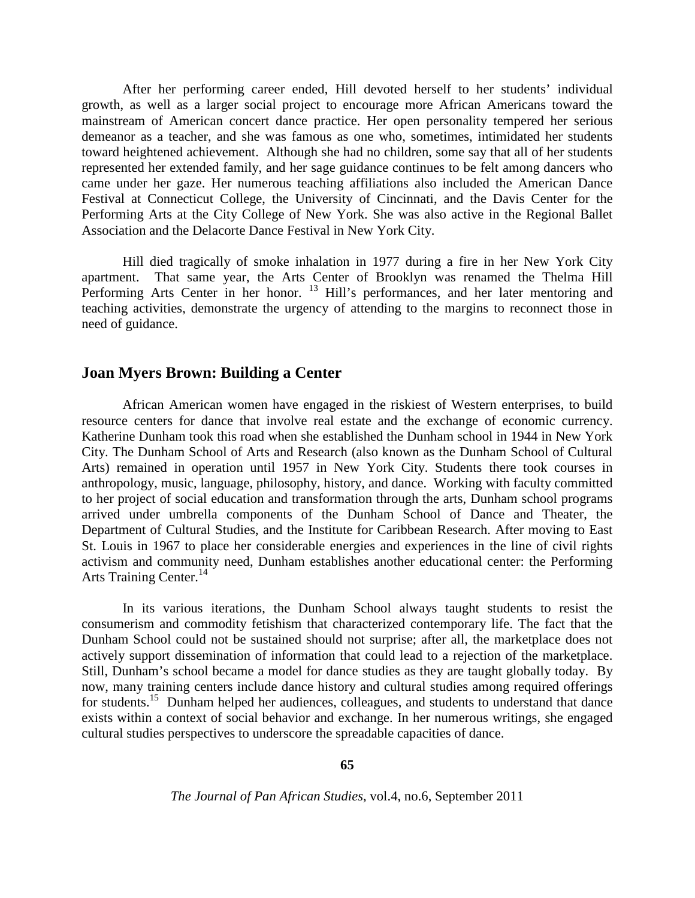After her performing career ended, Hill devoted herself to her students' individual growth, as well as a larger social project to encourage more African Americans toward the mainstream of American concert dance practice. Her open personality tempered her serious demeanor as a teacher, and she was famous as one who, sometimes, intimidated her students toward heightened achievement. Although she had no children, some say that all of her students represented her extended family, and her sage guidance continues to be felt among dancers who came under her gaze. Her numerous teaching affiliations also included the American Dance Festival at Connecticut College, the University of Cincinnati, and the Davis Center for the Performing Arts at the City College of New York. She was also active in the Regional Ballet Association and the Delacorte Dance Festival in New York City.

Hill died tragically of smoke inhalation in 1977 during a fire in her New York City apartment. That same year, the Arts Center of Brooklyn was renamed the Thelma Hill Performing Arts Center in her honor. <sup>13</sup> Hill's performances, and her later mentoring and teaching activities, demonstrate the urgency of attending to the margins to reconnect those in need of guidance.

## **Joan Myers Brown: Building a Center**

African American women have engaged in the riskiest of Western enterprises, to build resource centers for dance that involve real estate and the exchange of economic currency. Katherine Dunham took this road when she established the Dunham school in 1944 in New York City. The Dunham School of Arts and Research (also known as the Dunham School of Cultural Arts) remained in operation until 1957 in New York City. Students there took courses in anthropology, music, language, philosophy, history, and dance. Working with faculty committed to her project of social education and transformation through the arts, Dunham school programs arrived under umbrella components of the Dunham School of Dance and Theater, the Department of Cultural Studies, and the Institute for Caribbean Research. After moving to East St. Louis in 1967 to place her considerable energies and experiences in the line of civil rights activism and community need, Dunham establishes another educational center: the Performing Arts Training Center.<sup>14</sup>

In its various iterations, the Dunham School always taught students to resist the consumerism and commodity fetishism that characterized contemporary life. The fact that the Dunham School could not be sustained should not surprise; after all, the marketplace does not actively support dissemination of information that could lead to a rejection of the marketplace. Still, Dunham's school became a model for dance studies as they are taught globally today. By now, many training centers include dance history and cultural studies among required offerings for students.<sup>15</sup> Dunham helped her audiences, colleagues, and students to understand that dance exists within a context of social behavior and exchange. In her numerous writings, she engaged cultural studies perspectives to underscore the spreadable capacities of dance.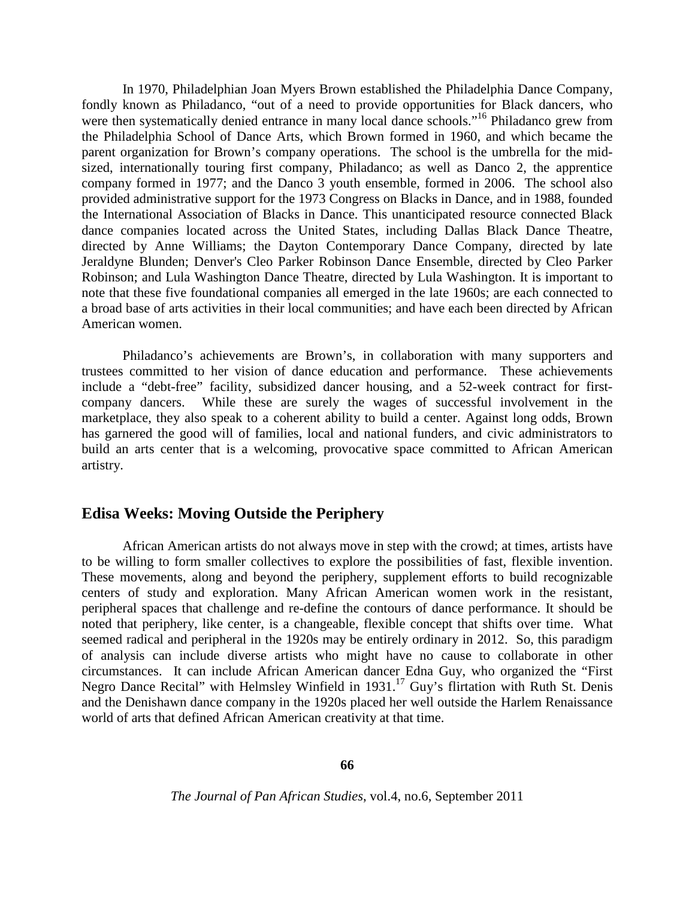In 1970, Philadelphian Joan Myers Brown established the Philadelphia Dance Company, fondly known as Philadanco, "out of a need to provide opportunities for Black dancers, who were then systematically denied entrance in many local dance schools."<sup>16</sup> Philadanco grew from the Philadelphia School of Dance Arts, which Brown formed in 1960, and which became the parent organization for Brown's company operations. The school is the umbrella for the midsized, internationally touring first company, Philadanco; as well as Danco 2, the apprentice company formed in 1977; and the Danco 3 youth ensemble, formed in 2006. The school also provided administrative support for the 1973 Congress on Blacks in Dance, and in 1988, founded the International Association of Blacks in Dance. This unanticipated resource connected Black dance companies located across the United States, including Dallas Black Dance Theatre, directed by Anne Williams; the Dayton Contemporary Dance Company, directed by late Jeraldyne Blunden; Denver's Cleo Parker Robinson Dance Ensemble, directed by Cleo Parker Robinson; and Lula Washington Dance Theatre, directed by Lula Washington. It is important to note that these five foundational companies all emerged in the late 1960s; are each connected to a broad base of arts activities in their local communities; and have each been directed by African American women.

Philadanco's achievements are Brown's, in collaboration with many supporters and trustees committed to her vision of dance education and performance. These achievements include a "debt-free" facility, subsidized dancer housing, and a 52-week contract for firstcompany dancers. While these are surely the wages of successful involvement in the marketplace, they also speak to a coherent ability to build a center. Against long odds, Brown has garnered the good will of families, local and national funders, and civic administrators to build an arts center that is a welcoming, provocative space committed to African American artistry.

# **Edisa Weeks: Moving Outside the Periphery**

African American artists do not always move in step with the crowd; at times, artists have to be willing to form smaller collectives to explore the possibilities of fast, flexible invention. These movements, along and beyond the periphery, supplement efforts to build recognizable centers of study and exploration. Many African American women work in the resistant, peripheral spaces that challenge and re-define the contours of dance performance. It should be noted that periphery, like center, is a changeable, flexible concept that shifts over time. What seemed radical and peripheral in the 1920s may be entirely ordinary in 2012. So, this paradigm of analysis can include diverse artists who might have no cause to collaborate in other circumstances. It can include African American dancer Edna Guy, who organized the "First Negro Dance Recital" with Helmsley Winfield in 1931.<sup>17</sup> Guy's flirtation with Ruth St. Denis and the Denishawn dance company in the 1920s placed her well outside the Harlem Renaissance world of arts that defined African American creativity at that time.

**66**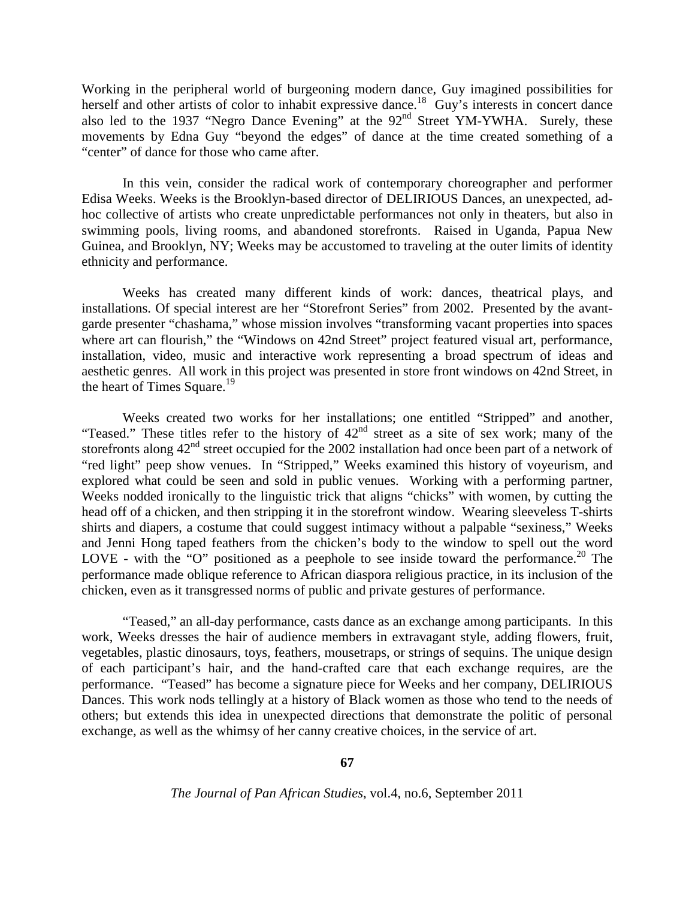Working in the peripheral world of burgeoning modern dance, Guy imagined possibilities for herself and other artists of color to inhabit expressive dance.<sup>18</sup> Guy's interests in concert dance also led to the 1937 "Negro Dance Evening" at the 92<sup>nd</sup> Street YM-YWHA. Surely, these movements by Edna Guy "beyond the edges" of dance at the time created something of a "center" of dance for those who came after.

In this vein, consider the radical work of contemporary choreographer and performer Edisa Weeks. Weeks is the Brooklyn-based director of DELIRIOUS Dances, an unexpected, adhoc collective of artists who create unpredictable performances not only in theaters, but also in swimming pools, living rooms, and abandoned storefronts. Raised in Uganda, Papua New Guinea, and Brooklyn, NY; Weeks may be accustomed to traveling at the outer limits of identity ethnicity and performance.

Weeks has created many different kinds of work: dances, theatrical plays, and installations. Of special interest are her "Storefront Series" from 2002. Presented by the avantgarde presenter "chashama," whose mission involves "transforming vacant properties into spaces where art can flourish," the "Windows on 42nd Street" project featured visual art, performance, installation, video, music and interactive work representing a broad spectrum of ideas and aesthetic genres. All work in this project was presented in store front windows on 42nd Street, in the heart of Times Square.<sup>19</sup>

Weeks created two works for her installations; one entitled "Stripped" and another, "Teased." These titles refer to the history of 42<sup>nd</sup> street as a site of sex work; many of the storefronts along  $42<sup>nd</sup>$  street occupied for the 2002 installation had once been part of a network of "red light" peep show venues. In "Stripped," Weeks examined this history of voyeurism, and explored what could be seen and sold in public venues. Working with a performing partner, Weeks nodded ironically to the linguistic trick that aligns "chicks" with women, by cutting the head off of a chicken, and then stripping it in the storefront window. Wearing sleeveless T-shirts shirts and diapers, a costume that could suggest intimacy without a palpable "sexiness," Weeks and Jenni Hong taped feathers from the chicken's body to the window to spell out the word LOVE - with the "O" positioned as a peephole to see inside toward the performance.<sup>20</sup> The performance made oblique reference to African diaspora religious practice, in its inclusion of the chicken, even as it transgressed norms of public and private gestures of performance.

"Teased," an all-day performance, casts dance as an exchange among participants. In this work, Weeks dresses the hair of audience members in extravagant style, adding flowers, fruit, vegetables, plastic dinosaurs, toys, feathers, mousetraps, or strings of sequins. The unique design of each participant's hair, and the hand-crafted care that each exchange requires, are the performance. "Teased" has become a signature piece for Weeks and her company, DELIRIOUS Dances. This work nods tellingly at a history of Black women as those who tend to the needs of others; but extends this idea in unexpected directions that demonstrate the politic of personal exchange, as well as the whimsy of her canny creative choices, in the service of art.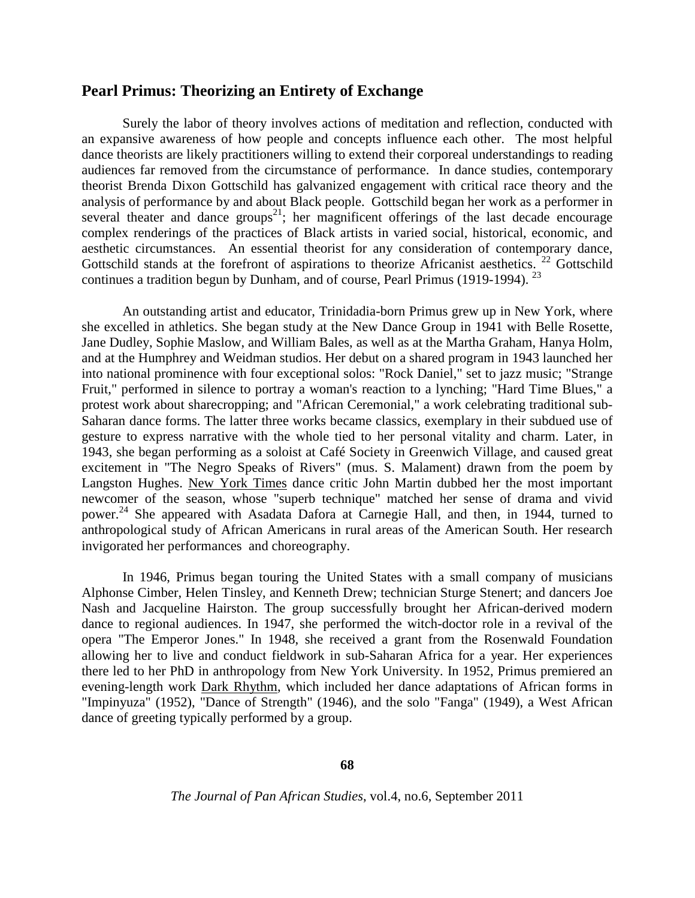# **Pearl Primus: Theorizing an Entirety of Exchange**

Surely the labor of theory involves actions of meditation and reflection, conducted with an expansive awareness of how people and concepts influence each other. The most helpful dance theorists are likely practitioners willing to extend their corporeal understandings to reading audiences far removed from the circumstance of performance. In dance studies, contemporary theorist Brenda Dixon Gottschild has galvanized engagement with critical race theory and the analysis of performance by and about Black people. Gottschild began her work as a performer in several theater and dance groups<sup>21</sup>; her magnificent offerings of the last decade encourage complex renderings of the practices of Black artists in varied social, historical, economic, and aesthetic circumstances. An essential theorist for any consideration of contemporary dance, Gottschild stands at the forefront of aspirations to theorize Africanist aesthetics.<sup>22</sup> Gottschild continues a tradition begun by Dunham, and of course, Pearl Primus (1919-1994).  $^{23}$ 

An outstanding artist and educator, Trinidadia-born Primus grew up in New York, where she excelled in athletics. She began study at the New Dance Group in 1941 with Belle Rosette, Jane Dudley, Sophie Maslow, and William Bales, as well as at the Martha Graham, Hanya Holm, and at the Humphrey and Weidman studios. Her debut on a shared program in 1943 launched her into national prominence with four exceptional solos: "Rock Daniel," set to jazz music; "Strange Fruit," performed in silence to portray a woman's reaction to a lynching; "Hard Time Blues," a protest work about sharecropping; and "African Ceremonial," a work celebrating traditional sub-Saharan dance forms. The latter three works became classics, exemplary in their subdued use of gesture to express narrative with the whole tied to her personal vitality and charm. Later, in 1943, she began performing as a soloist at Café Society in Greenwich Village, and caused great excitement in "The Negro Speaks of Rivers" (mus. S. Malament) drawn from the poem by Langston Hughes. New York Times dance critic John Martin dubbed her the most important newcomer of the season, whose "superb technique" matched her sense of drama and vivid power.<sup>24</sup> She appeared with Asadata Dafora at Carnegie Hall, and then, in 1944, turned to anthropological study of African Americans in rural areas of the American South. Her research invigorated her performances and choreography.

In 1946, Primus began touring the United States with a small company of musicians Alphonse Cimber, Helen Tinsley, and Kenneth Drew; technician Sturge Stenert; and dancers Joe Nash and Jacqueline Hairston. The group successfully brought her African-derived modern dance to regional audiences. In 1947, she performed the witch-doctor role in a revival of the opera "The Emperor Jones." In 1948, she received a grant from the Rosenwald Foundation allowing her to live and conduct fieldwork in sub-Saharan Africa for a year. Her experiences there led to her PhD in anthropology from New York University. In 1952, Primus premiered an evening-length work Dark Rhythm, which included her dance adaptations of African forms in "Impinyuza" (1952), "Dance of Strength" (1946), and the solo "Fanga" (1949), a West African dance of greeting typically performed by a group.

**68**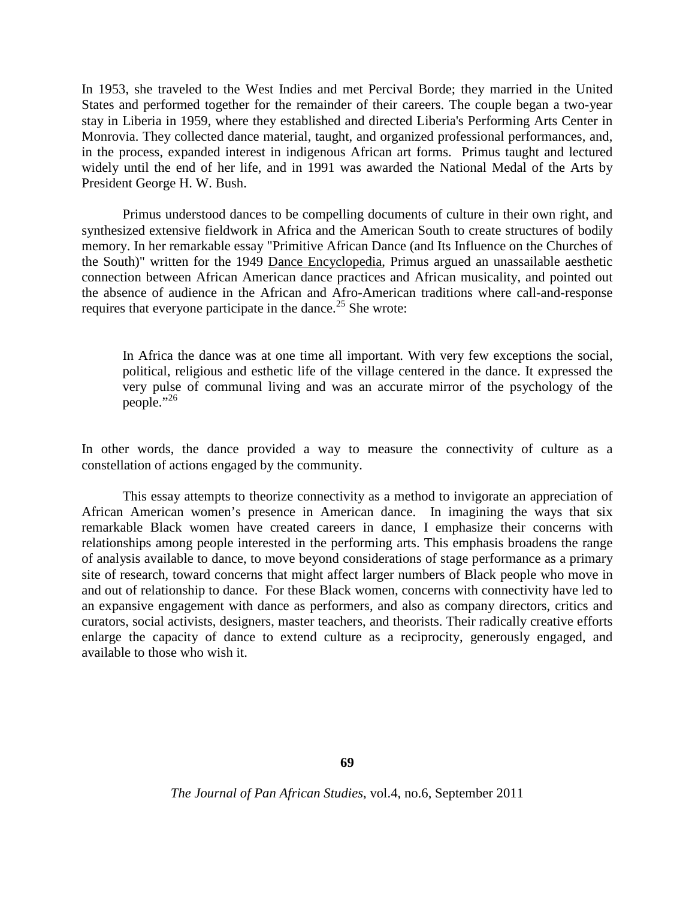In 1953, she traveled to the West Indies and met Percival Borde; they married in the United States and performed together for the remainder of their careers. The couple began a two-year stay in Liberia in 1959, where they established and directed Liberia's Performing Arts Center in Monrovia. They collected dance material, taught, and organized professional performances, and, in the process, expanded interest in indigenous African art forms. Primus taught and lectured widely until the end of her life, and in 1991 was awarded the National Medal of the Arts by President George H. W. Bush.

Primus understood dances to be compelling documents of culture in their own right, and synthesized extensive fieldwork in Africa and the American South to create structures of bodily memory. In her remarkable essay "Primitive African Dance (and Its Influence on the Churches of the South)" written for the 1949 Dance Encyclopedia, Primus argued an unassailable aesthetic connection between African American dance practices and African musicality, and pointed out the absence of audience in the African and Afro-American traditions where call-and-response requires that everyone participate in the dance.<sup>25</sup> She wrote:

In Africa the dance was at one time all important. With very few exceptions the social, political, religious and esthetic life of the village centered in the dance. It expressed the very pulse of communal living and was an accurate mirror of the psychology of the people." $^{26}$ 

In other words, the dance provided a way to measure the connectivity of culture as a constellation of actions engaged by the community.

This essay attempts to theorize connectivity as a method to invigorate an appreciation of African American women's presence in American dance. In imagining the ways that six remarkable Black women have created careers in dance, I emphasize their concerns with relationships among people interested in the performing arts. This emphasis broadens the range of analysis available to dance, to move beyond considerations of stage performance as a primary site of research, toward concerns that might affect larger numbers of Black people who move in and out of relationship to dance. For these Black women, concerns with connectivity have led to an expansive engagement with dance as performers, and also as company directors, critics and curators, social activists, designers, master teachers, and theorists. Their radically creative efforts enlarge the capacity of dance to extend culture as a reciprocity, generously engaged, and available to those who wish it.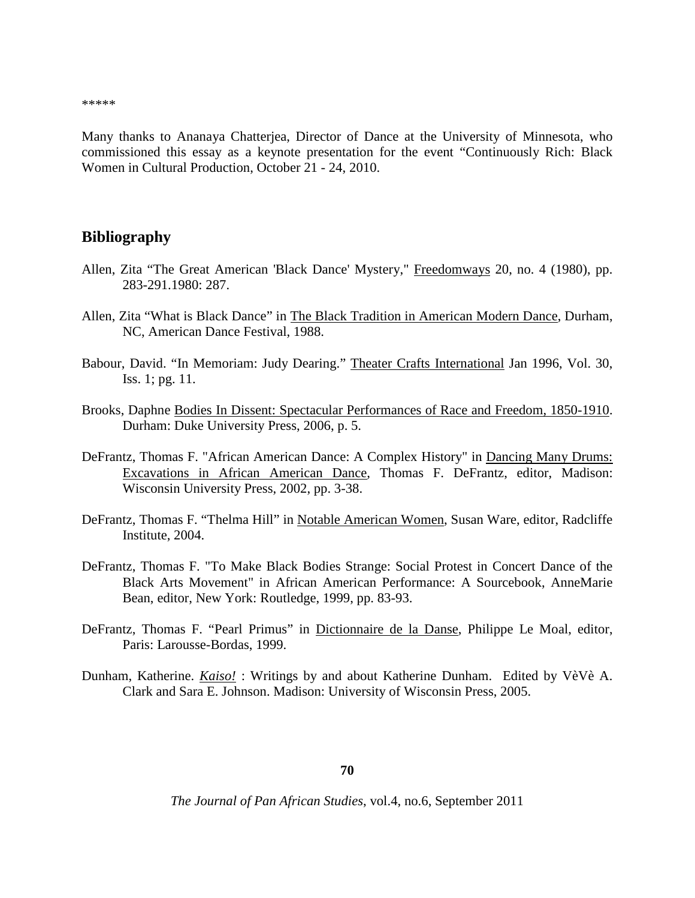\*\*\*\*\*

Many thanks to Ananaya Chatterjea, Director of Dance at the University of Minnesota, who commissioned this essay as a keynote presentation for the event "Continuously Rich: Black Women in Cultural Production, October 21 - 24, 2010.

#### **Bibliography**

- Allen, Zita "The Great American 'Black Dance' Mystery," Freedomways 20, no. 4 (1980), pp. 283-291.1980: 287.
- Allen, Zita "What is Black Dance" in The Black Tradition in American Modern Dance, Durham, NC, American Dance Festival, 1988.
- Babour, David. "In Memoriam: Judy Dearing." Theater Crafts International Jan 1996, Vol. 30, Iss. 1; pg. 11.
- Brooks, Daphne Bodies In Dissent: Spectacular Performances of Race and Freedom, 1850-1910. Durham: Duke University Press, 2006, p. 5.
- DeFrantz, Thomas F. "African American Dance: A Complex History" in Dancing Many Drums: Excavations in African American Dance, Thomas F. DeFrantz, editor, Madison: Wisconsin University Press, 2002, pp. 3-38.
- DeFrantz, Thomas F. "Thelma Hill" in Notable American Women, Susan Ware, editor, Radcliffe Institute, 2004.
- DeFrantz, Thomas F. "To Make Black Bodies Strange: Social Protest in Concert Dance of the Black Arts Movement" in African American Performance: A Sourcebook, AnneMarie Bean, editor, New York: Routledge, 1999, pp. 83-93.
- DeFrantz, Thomas F. "Pearl Primus" in Dictionnaire de la Danse, Philippe Le Moal, editor, Paris: Larousse-Bordas, 1999.
- Dunham, Katherine. *Kaiso!* : Writings by and about Katherine Dunham. Edited by VèVè A. Clark and Sara E. Johnson. Madison: University of Wisconsin Press, 2005.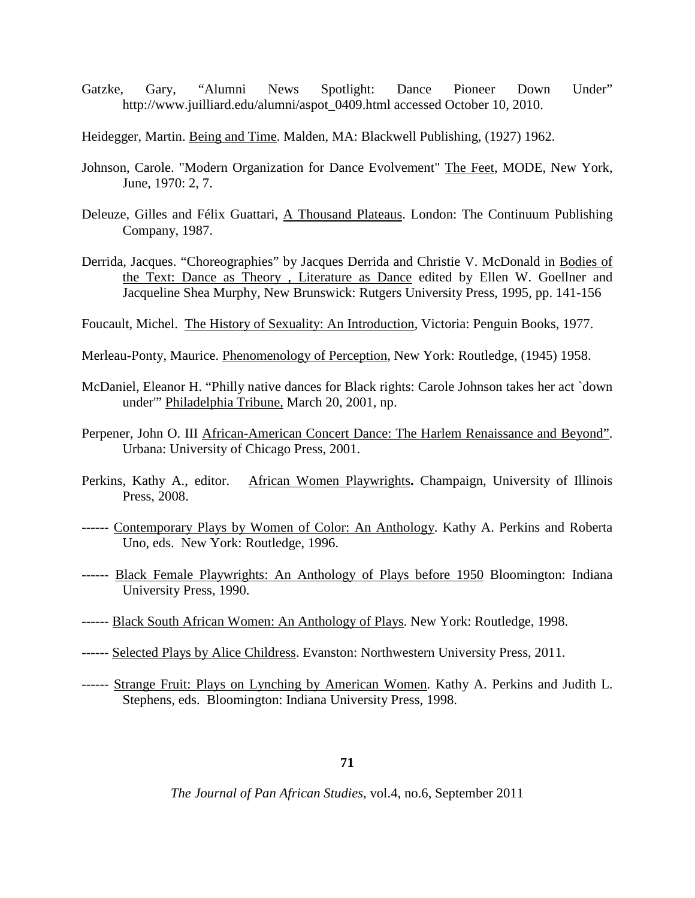- Gatzke, Gary, "Alumni News Spotlight: Dance Pioneer Down Under" http://www.juilliard.edu/alumni/aspot\_0409.html accessed October 10, 2010.
- Heidegger, Martin. Being and Time. Malden, MA: Blackwell Publishing, (1927) 1962.
- Johnson, Carole. "Modern Organization for Dance Evolvement" The Feet, MODE, New York, June, 1970: 2, 7.
- Deleuze, Gilles and Félix Guattari, A Thousand Plateaus. London: The Continuum Publishing Company, 1987.
- Derrida, Jacques. "Choreographies" by Jacques Derrida and Christie V. McDonald in Bodies of the Text: Dance as Theory , Literature as Dance edited by Ellen W. Goellner and Jacqueline Shea Murphy, New Brunswick: Rutgers University Press, 1995, pp. 141-156
- Foucault, Michel. The History of Sexuality: An Introduction, Victoria: Penguin Books, 1977.
- Merleau-Ponty, Maurice. Phenomenology of Perception, New York: Routledge, (1945) 1958.
- McDaniel, Eleanor H. "Philly native dances for Black rights: Carole Johnson takes her act `down under'" Philadelphia Tribune, March 20, 2001, np.
- Perpener, John O. III African-American Concert Dance: The Harlem Renaissance and Beyond". Urbana: University of Chicago Press, 2001.
- Perkins, Kathy A., editor. African Women Playwrights**.** Champaign, University of Illinois Press, 2008.
- **------** Contemporary Plays by Women of Color: An Anthology. Kathy A. Perkins and Roberta Uno, eds. New York: Routledge, 1996.
- ------ Black Female Playwrights: An Anthology of Plays before 1950 Bloomington: Indiana University Press, 1990.
- ------ Black South African Women: An Anthology of Plays. New York: Routledge, 1998.
- ------ Selected Plays by Alice Childress. Evanston: Northwestern University Press, 2011.
- ------ Strange Fruit: Plays on Lynching by American Women. Kathy A. Perkins and Judith L. Stephens, eds. Bloomington: Indiana University Press, 1998.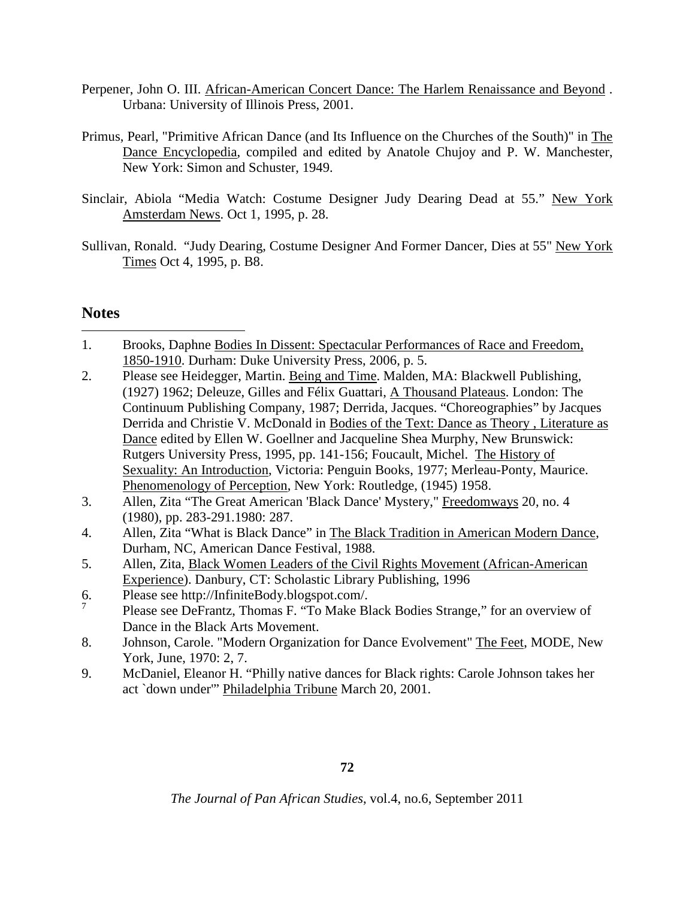- Perpener, John O. III. African-American Concert Dance: The Harlem Renaissance and Beyond . Urbana: University of Illinois Press, 2001.
- Primus, Pearl, "Primitive African Dance (and Its Influence on the Churches of the South)" in The Dance Encyclopedia, compiled and edited by Anatole Chujoy and P. W. Manchester, New York: Simon and Schuster, 1949.
- Sinclair, Abiola "Media Watch: Costume Designer Judy Dearing Dead at 55." New York Amsterdam News. Oct 1, 1995, p. 28.
- Sullivan, Ronald. "Judy Dearing, Costume Designer And Former Dancer, Dies at 55" New York Times Oct 4, 1995, p. B8.

# **Notes**

-

- 1. Brooks, Daphne Bodies In Dissent: Spectacular Performances of Race and Freedom, 1850-1910. Durham: Duke University Press, 2006, p. 5.
- 2. Please see Heidegger, Martin. Being and Time. Malden, MA: Blackwell Publishing, (1927) 1962; Deleuze, Gilles and Félix Guattari, A Thousand Plateaus. London: The Continuum Publishing Company, 1987; Derrida, Jacques. "Choreographies" by Jacques Derrida and Christie V. McDonald in Bodies of the Text: Dance as Theory , Literature as Dance edited by Ellen W. Goellner and Jacqueline Shea Murphy, New Brunswick: Rutgers University Press, 1995, pp. 141-156; Foucault, Michel. The History of Sexuality: An Introduction, Victoria: Penguin Books, 1977; Merleau-Ponty, Maurice. Phenomenology of Perception, New York: Routledge, (1945) 1958.
- 3. Allen, Zita "The Great American 'Black Dance' Mystery," Freedomways 20, no. 4 (1980), pp. 283-291.1980: 287.
- 4. Allen, Zita "What is Black Dance" in The Black Tradition in American Modern Dance, Durham, NC, American Dance Festival, 1988.
- 5. Allen, Zita, Black Women Leaders of the Civil Rights Movement (African-American Experience). Danbury, CT: Scholastic Library Publishing, 1996
- 6. Please see http://InfiniteBody.blogspot.com/.
- 7 Please see DeFrantz, Thomas F. "To Make Black Bodies Strange," for an overview of Dance in the Black Arts Movement.
- 8. Johnson, Carole. "Modern Organization for Dance Evolvement" The Feet, MODE, New York, June, 1970: 2, 7.
- 9. McDaniel, Eleanor H. "Philly native dances for Black rights: Carole Johnson takes her act `down under'" Philadelphia Tribune March 20, 2001.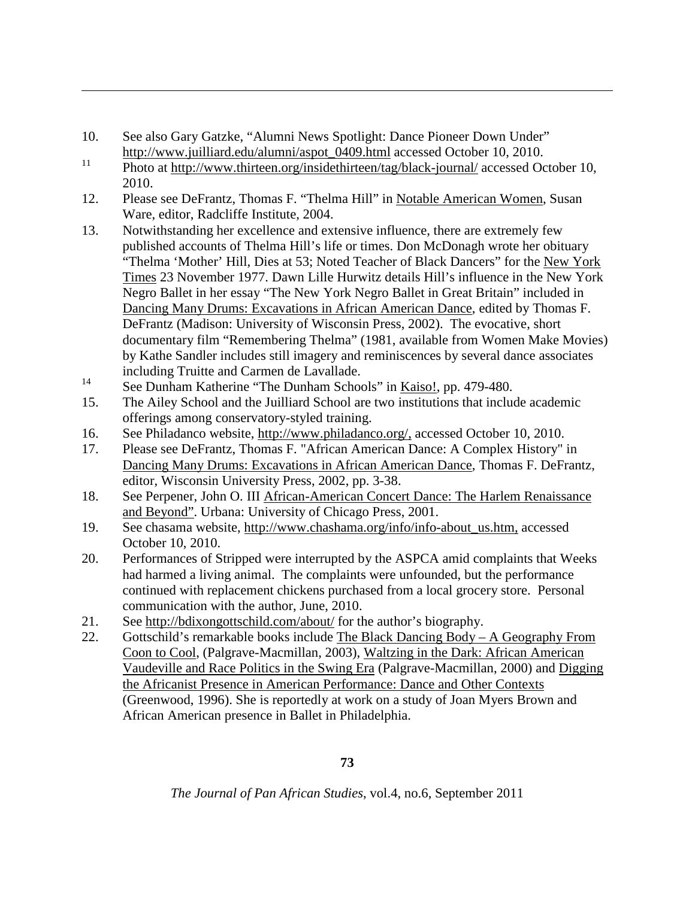10. See also Gary Gatzke, "Alumni News Spotlight: Dance Pioneer Down Under" http://www.juilliard.edu/alumni/aspot\_0409.html accessed October 10, 2010.

<u>.</u>

- <sup>11</sup> Photo at http://www.thirteen.org/insidethirteen/tag/black-journal/ accessed October 10, 2010.
- 12. Please see DeFrantz, Thomas F. "Thelma Hill" in Notable American Women, Susan Ware, editor, Radcliffe Institute, 2004.
- 13. Notwithstanding her excellence and extensive influence, there are extremely few published accounts of Thelma Hill's life or times. Don McDonagh wrote her obituary "Thelma 'Mother' Hill, Dies at 53; Noted Teacher of Black Dancers" for the New York Times 23 November 1977. Dawn Lille Hurwitz details Hill's influence in the New York Negro Ballet in her essay "The New York Negro Ballet in Great Britain" included in Dancing Many Drums: Excavations in African American Dance, edited by Thomas F. DeFrantz (Madison: University of Wisconsin Press, 2002). The evocative, short documentary film "Remembering Thelma" (1981, available from Women Make Movies) by Kathe Sandler includes still imagery and reminiscences by several dance associates including Truitte and Carmen de Lavallade.
- <sup>14</sup> See Dunham Katherine "The Dunham Schools" in <u>Kaiso!</u>, pp. 479-480.
- 15. The Ailey School and the Juilliard School are two institutions that include academic offerings among conservatory-styled training.
- 16. See Philadanco website, http://www.philadanco.org/, accessed October 10, 2010.
- 17. Please see DeFrantz, Thomas F. "African American Dance: A Complex History" in Dancing Many Drums: Excavations in African American Dance, Thomas F. DeFrantz, editor, Wisconsin University Press, 2002, pp. 3-38.
- 18. See Perpener, John O. III African-American Concert Dance: The Harlem Renaissance and Beyond". Urbana: University of Chicago Press, 2001.
- 19. See chasama website, http://www.chashama.org/info/info-about\_us.htm, accessed October 10, 2010.
- 20. Performances of Stripped were interrupted by the ASPCA amid complaints that Weeks had harmed a living animal. The complaints were unfounded, but the performance continued with replacement chickens purchased from a local grocery store. Personal communication with the author, June, 2010.
- 21. See http://bdixongottschild.com/about/ for the author's biography.
- 22. Gottschild's remarkable books include The Black Dancing Body  $A$  Geography From Coon to Cool, (Palgrave-Macmillan, 2003), Waltzing in the Dark: African American Vaudeville and Race Politics in the Swing Era (Palgrave-Macmillan, 2000) and Digging the Africanist Presence in American Performance: Dance and Other Contexts (Greenwood, 1996). She is reportedly at work on a study of Joan Myers Brown and African American presence in Ballet in Philadelphia.